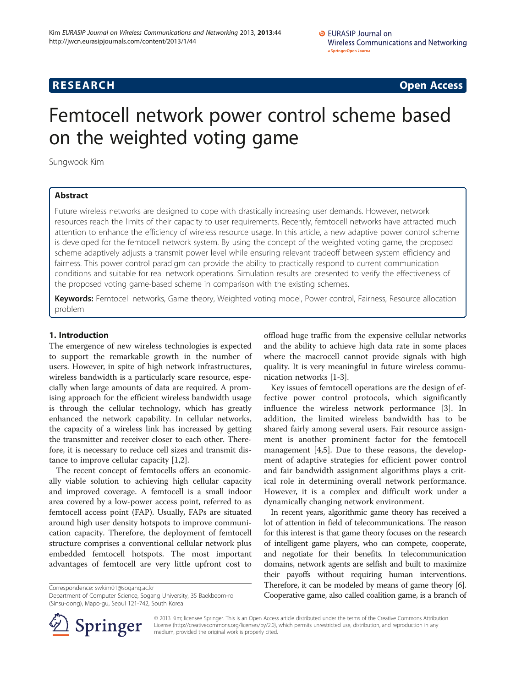# **RESEARCH RESEARCH CONSUMING ACCESS**

# Femtocell network power control scheme based on the weighted voting game

Sungwook Kim

# Abstract

Future wireless networks are designed to cope with drastically increasing user demands. However, network resources reach the limits of their capacity to user requirements. Recently, femtocell networks have attracted much attention to enhance the efficiency of wireless resource usage. In this article, a new adaptive power control scheme is developed for the femtocell network system. By using the concept of the weighted voting game, the proposed scheme adaptively adjusts a transmit power level while ensuring relevant tradeoff between system efficiency and fairness. This power control paradigm can provide the ability to practically respond to current communication conditions and suitable for real network operations. Simulation results are presented to verify the effectiveness of the proposed voting game-based scheme in comparison with the existing schemes.

Keywords: Femtocell networks, Game theory, Weighted voting model, Power control, Fairness, Resource allocation problem

# 1. Introduction

The emergence of new wireless technologies is expected to support the remarkable growth in the number of users. However, in spite of high network infrastructures, wireless bandwidth is a particularly scare resource, especially when large amounts of data are required. A promising approach for the efficient wireless bandwidth usage is through the cellular technology, which has greatly enhanced the network capability. In cellular networks, the capacity of a wireless link has increased by getting the transmitter and receiver closer to each other. Therefore, it is necessary to reduce cell sizes and transmit distance to improve cellular capacity [\[1,2](#page-8-0)].

The recent concept of femtocells offers an economically viable solution to achieving high cellular capacity and improved coverage. A femtocell is a small indoor area covered by a low-power access point, referred to as femtocell access point (FAP). Usually, FAPs are situated around high user density hotspots to improve communication capacity. Therefore, the deployment of femtocell structure comprises a conventional cellular network plus embedded femtocell hotspots. The most important advantages of femtocell are very little upfront cost to

Correspondence: [swkim01@sogang.ac.kr](mailto:swkim01@sogang.ac.kr)

Department of Computer Science, Sogang University, 35 Baekbeom-ro (Sinsu-dong), Mapo-gu, Seoul 121-742, South Korea

offload huge traffic from the expensive cellular networks and the ability to achieve high data rate in some places where the macrocell cannot provide signals with high quality. It is very meaningful in future wireless communication networks [\[1](#page-8-0)-[3\]](#page-8-0).

Key issues of femtocell operations are the design of effective power control protocols, which significantly influence the wireless network performance [[3\]](#page-8-0). In addition, the limited wireless bandwidth has to be shared fairly among several users. Fair resource assignment is another prominent factor for the femtocell management [[4,5](#page-8-0)]. Due to these reasons, the development of adaptive strategies for efficient power control and fair bandwidth assignment algorithms plays a critical role in determining overall network performance. However, it is a complex and difficult work under a dynamically changing network environment.

In recent years, algorithmic game theory has received a lot of attention in field of telecommunications. The reason for this interest is that game theory focuses on the research of intelligent game players, who can compete, cooperate, and negotiate for their benefits. In telecommunication domains, network agents are selfish and built to maximize their payoffs without requiring human interventions. Therefore, it can be modeled by means of game theory [[6](#page-8-0)]. Cooperative game, also called coalition game, is a branch of



© 2013 Kim; licensee Springer. This is an Open Access article distributed under the terms of the Creative Commons Attribution License [\(http://creativecommons.org/licenses/by/2.0\)](http://creativecommons.org/licenses/by/2.0), which permits unrestricted use, distribution, and reproduction in any medium, provided the original work is properly cited.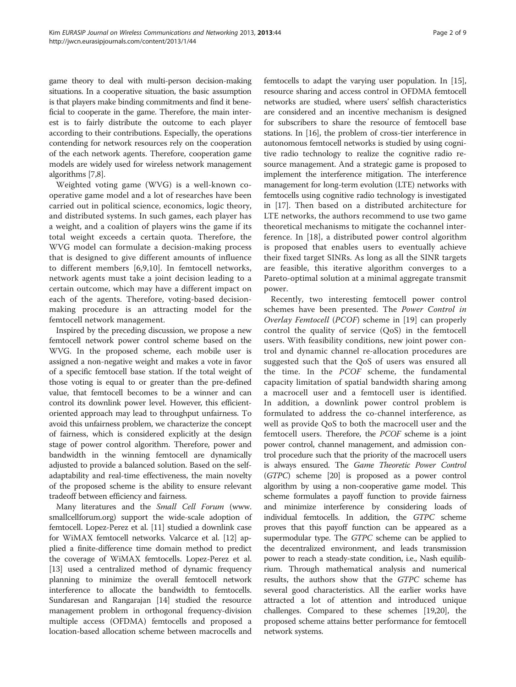game theory to deal with multi-person decision-making situations. In a cooperative situation, the basic assumption is that players make binding commitments and find it beneficial to cooperate in the game. Therefore, the main interest is to fairly distribute the outcome to each player according to their contributions. Especially, the operations contending for network resources rely on the cooperation of the each network agents. Therefore, cooperation game models are widely used for wireless network management algorithms [[7,8\]](#page-8-0).

Weighted voting game (WVG) is a well-known cooperative game model and a lot of researches have been carried out in political science, economics, logic theory, and distributed systems. In such games, each player has a weight, and a coalition of players wins the game if its total weight exceeds a certain quota. Therefore, the WVG model can formulate a decision-making process that is designed to give different amounts of influence to different members [\[6](#page-8-0),[9,10\]](#page-8-0). In femtocell networks, network agents must take a joint decision leading to a certain outcome, which may have a different impact on each of the agents. Therefore, voting-based decisionmaking procedure is an attracting model for the femtocell network management.

Inspired by the preceding discussion, we propose a new femtocell network power control scheme based on the WVG. In the proposed scheme, each mobile user is assigned a non-negative weight and makes a vote in favor of a specific femtocell base station. If the total weight of those voting is equal to or greater than the pre-defined value, that femtocell becomes to be a winner and can control its downlink power level. However, this efficientoriented approach may lead to throughput unfairness. To avoid this unfairness problem, we characterize the concept of fairness, which is considered explicitly at the design stage of power control algorithm. Therefore, power and bandwidth in the winning femtocell are dynamically adjusted to provide a balanced solution. Based on the selfadaptability and real-time effectiveness, the main novelty of the proposed scheme is the ability to ensure relevant tradeoff between efficiency and fairness.

Many literatures and the Small Cell Forum [\(www.](http://www.smallcellforum.org) [smallcellforum.org](http://www.smallcellforum.org)) support the wide-scale adoption of femtocell. Lopez-Perez et al. [\[11\]](#page-8-0) studied a downlink case for WiMAX femtocell networks. Valcarce et al. [[12](#page-8-0)] applied a finite-difference time domain method to predict the coverage of WiMAX femtocells. Lopez-Perez et al. [[13](#page-8-0)] used a centralized method of dynamic frequency planning to minimize the overall femtocell network interference to allocate the bandwidth to femtocells. Sundaresan and Rangarajan [[14](#page-8-0)] studied the resource management problem in orthogonal frequency-division multiple access (OFDMA) femtocells and proposed a location-based allocation scheme between macrocells and femtocells to adapt the varying user population. In [[15](#page-8-0)], resource sharing and access control in OFDMA femtocell networks are studied, where users' selfish characteristics are considered and an incentive mechanism is designed for subscribers to share the resource of femtocell base stations. In [\[16\]](#page-8-0), the problem of cross-tier interference in autonomous femtocell networks is studied by using cognitive radio technology to realize the cognitive radio resource management. And a strategic game is proposed to implement the interference mitigation. The interference management for long-term evolution (LTE) networks with femtocells using cognitive radio technology is investigated in [[17](#page-8-0)]. Then based on a distributed architecture for LTE networks, the authors recommend to use two game theoretical mechanisms to mitigate the cochannel interference. In [\[18](#page-8-0)], a distributed power control algorithm is proposed that enables users to eventually achieve their fixed target SINRs. As long as all the SINR targets are feasible, this iterative algorithm converges to a Pareto-optimal solution at a minimal aggregate transmit power.

Recently, two interesting femtocell power control schemes have been presented. The Power Control in Overlay Femtocell (PCOF) scheme in [[19\]](#page-8-0) can properly control the quality of service (QoS) in the femtocell users. With feasibility conditions, new joint power control and dynamic channel re-allocation procedures are suggested such that the QoS of users was ensured all the time. In the PCOF scheme, the fundamental capacity limitation of spatial bandwidth sharing among a macrocell user and a femtocell user is identified. In addition, a downlink power control problem is formulated to address the co-channel interference, as well as provide QoS to both the macrocell user and the femtocell users. Therefore, the PCOF scheme is a joint power control, channel management, and admission control procedure such that the priority of the macrocell users is always ensured. The Game Theoretic Power Control (GTPC) scheme [[20](#page-8-0)] is proposed as a power control algorithm by using a non-cooperative game model. This scheme formulates a payoff function to provide fairness and minimize interference by considering loads of individual femtocells. In addition, the GTPC scheme proves that this payoff function can be appeared as a supermodular type. The GTPC scheme can be applied to the decentralized environment, and leads transmission power to reach a steady-state condition, i.e., Nash equilibrium. Through mathematical analysis and numerical results, the authors show that the GTPC scheme has several good characteristics. All the earlier works have attracted a lot of attention and introduced unique challenges. Compared to these schemes [\[19,20](#page-8-0)], the proposed scheme attains better performance for femtocell network systems.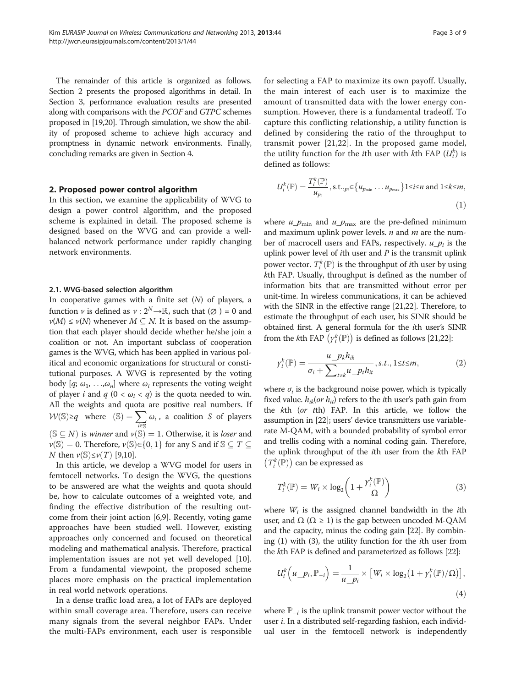The remainder of this article is organized as follows. Section 2 presents the proposed algorithms in detail. In Section 3, performance evaluation results are presented along with comparisons with the PCOF and GTPC schemes proposed in [\[19,20](#page-8-0)]. Through simulation, we show the ability of proposed scheme to achieve high accuracy and promptness in dynamic network environments. Finally, concluding remarks are given in Section 4.

# 2. Proposed power control algorithm

In this section, we examine the applicability of WVG to design a power control algorithm, and the proposed scheme is explained in detail. The proposed scheme is designed based on the WVG and can provide a wellbalanced network performance under rapidly changing network environments.

# 2.1. WVG-based selection algorithm

In cooperative games with a finite set  $(N)$  of players, a function  $\nu$  is defined as  $\nu : 2^N \rightarrow \mathbb{R}$ , such that  $(\emptyset) = 0$  and  $\nu(M) \leq \nu(N)$  whenever  $M \subseteq N$ . It is based on the assumption that each player should decide whether he/she join a coalition or not. An important subclass of cooperation games is the WVG, which has been applied in various political and economic organizations for structural or constitutional purposes. A WVG is represented by the voting body [q;  $\omega_1$ , ..., $\omega_n$ ] where  $\omega_i$  represents the voting weight of player *i* and  $q$  (0 <  $\omega_i$  <  $q$ ) is the quota needed to win. All the weights and quota are positive real numbers. If  $W(\mathbb{S}) \geq q$  where  $(\mathbb{S}) = \sum_{i \in \mathbb{S}}$  $\omega_i$ , a coalition S of players  $(\mathbb{S} \subseteq N)$  is *winner* and  $\nu(\mathbb{S}) = 1$ . Otherwise, it is *loser* and  $\nu(\mathbb{S}) = 0$ . Therefore,  $\nu(\mathbb{S}) \in \{0, 1\}$  for any S and if  $\mathbb{S} \subseteq T \subseteq$ N then  $v(\mathbb{S}) \leq v(T)$  [[9](#page-8-0),[10](#page-8-0)].

In this article, we develop a WVG model for users in femtocell networks. To design the WVG, the questions to be answered are what the weights and quota should be, how to calculate outcomes of a weighted vote, and finding the effective distribution of the resulting outcome from their joint action [[6,9\]](#page-8-0). Recently, voting game approaches have been studied well. However, existing approaches only concerned and focused on theoretical modeling and mathematical analysis. Therefore, practical implementation issues are not yet well developed [\[10](#page-8-0)]. From a fundamental viewpoint, the proposed scheme places more emphasis on the practical implementation in real world network operations.

In a dense traffic load area, a lot of FAPs are deployed within small coverage area. Therefore, users can receive many signals from the several neighbor FAPs. Under the multi-FAPs environment, each user is responsible for selecting a FAP to maximize its own payoff. Usually, the main interest of each user is to maximize the amount of transmitted data with the lower energy consumption. However, there is a fundamental tradeoff. To capture this conflicting relationship, a utility function is defined by considering the ratio of the throughput to transmit power [[21,22](#page-8-0)]. In the proposed game model, the utility function for the *i*th user with *k*th FAP  $(U_i^k)$  is defined as follows:

$$
U_i^k(\mathbb{P}) = \frac{T_i^k(\mathbb{P})}{u_{p_i}}, \text{s.t.}, p_i \in \{u_{p_{\min}}, \dots u_{p_{\max}}\} \text{ is in and } 1 \le k \le m,
$$
\n(1)

where  $u_p_{min}$  and  $u_p_{max}$  are the pre-defined minimum and maximum uplink power levels.  $n$  and  $m$  are the number of macrocell users and FAPs, respectively.  $u_p$  is the uplink power level of *i*th user and  $P$  is the transmit uplink power vector.  $T_i^k(\mathbb{P})$  is the throughput of *i*th user by using  $k$ th  $\mathbb{P} \Delta \mathbb{P}$ . Henclus throughput is defined as the number of kth FAP. Usually, throughput is defined as the number of information bits that are transmitted without error per unit-time. In wireless communications, it can be achieved with the SINR in the effective range [\[21,22\]](#page-8-0). Therefore, to estimate the throughput of each user, his SINR should be obtained first. A general formula for the ith user's SINR from the *k*th FAP  $\left(\gamma_i^k(\mathbb{P})\right)$  is defined as follows [[21,22\]](#page-8-0):

$$
\gamma_i^k(\mathbb{P}) = \frac{u \_{pk} h_{ik}}{\sigma_i + \sum_{t \neq k} u \_{pk} h_{it}}, s.t., 1 \le t \le m,
$$
\n(2)

where  $\sigma_i$  is the background noise power, which is typically fixed value.  $h_{ik}(or h_{it})$  refers to the *i*th user's path gain from the kth (or tth) FAP. In this article, we follow the assumption in [\[22\]](#page-8-0); users' device transmitters use variablerate M-QAM, with a bounded probability of symbol error and trellis coding with a nominal coding gain. Therefore, the uplink throughput of the ith user from the kth FAP  $\left( T_{i}^{k}(\mathbb{P})\right)$  can be expressed as

$$
T_i^k(\mathbb{P}) = W_i \times \log_2\left(1 + \frac{\gamma_i^k(\mathbb{P})}{\Omega}\right) \tag{3}
$$

where  $W_i$  is the assigned channel bandwidth in the *i*th user, and Ω ( $Ω ≥ 1$ ) is the gap between uncoded M-QAM and the capacity, minus the coding gain [\[22](#page-8-0)]. By combining (1) with (3), the utility function for the ith user from the kth FAP is defined and parameterized as follows [[22\]](#page-8-0):

$$
U_i^k(u\_{pi_i,\mathbb{P}_{-i}}) = \frac{1}{u\_{pi}} \times [W_i \times \log_2(1 + \gamma_i^k(\mathbb{P})/\Omega)],
$$
\n(4)

where  $\mathbb{P}_{-i}$  is the uplink transmit power vector without the user i. In a distributed self-regarding fashion, each individual user in the femtocell network is independently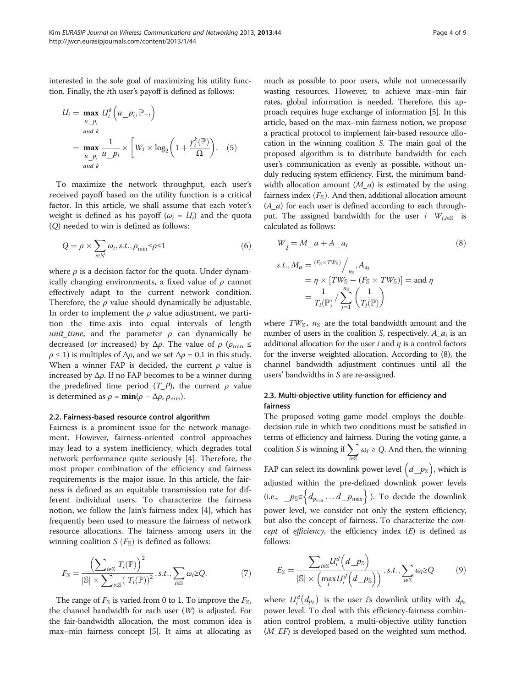interested in the sole goal of maximizing his utility function. Finally, the ith user's payoff is defined as follows:

$$
U_i = \max_{\substack{u \perp p_i \\ and \ k}} U_i^k (u \perp p_i, \mathbb{P}_{-i})
$$
  
= 
$$
\max_{\substack{u \perp p_i \\ u \perp p_i}} \frac{1}{u \perp p_i} \times \left[ W_i \times \log_2 \left( 1 + \frac{y_i^k(\mathbb{P})}{\Omega} \right). \quad (5)
$$

To maximize the network throughput, each user's received payoff based on the utility function is a critical factor. In this article, we shall assume that each voter's weight is defined as his payoff ( $\omega_i = U_i$ ) and the quota (Q) needed to win is defined as follows:

$$
Q = \rho \times \sum_{i \in N} \omega_i, s.t., \rho_{\min} \leq \rho \leq 1
$$
 (6)

where  $\rho$  is a decision factor for the quota. Under dynamically changing environments, a fixed value of  $\rho$  cannot effectively adapt to the current network condition. Therefore, the  $\rho$  value should dynamically be adjustable. In order to implement the  $\rho$  value adjustment, we partition the time-axis into equal intervals of length unit\_time, and the parameter  $\rho$  can dynamically be decreased (or increased) by  $\Delta \rho$ . The value of  $\rho$  ( $\rho_{\min} \leq$  $\rho \le 1$ ) is multiples of  $\Delta \rho$ , and we set  $\Delta \rho = 0.1$  in this study. When a winner FAP is decided, the current  $\rho$  value is increased by  $\Delta \rho$ . If no FAP becomes to be a winner during the predefined time period  $(T_P)$ , the current  $\rho$  value is determined as  $\rho = \min(\rho - \Delta \rho, \rho_{\min}).$ 

### 2.2. Fairness-based resource control algorithm

Fairness is a prominent issue for the network management. However, fairness-oriented control approaches may lead to a system inefficiency, which degrades total network performance quite seriously [\[4](#page-8-0)]. Therefore, the most proper combination of the efficiency and fairness requirements is the major issue. In this article, the fairness is defined as an equitable transmission rate for different individual users. To characterize the fairness notion, we follow the Jain's fairness index [[4](#page-8-0)], which has frequently been used to measure the fairness of network resource allocations. The fairness among users in the winning coalition  $S(F<sub>S</sub>)$  is defined as follows:

$$
F_{\mathbb{S}} = \frac{\left(\sum_{i \in \mathbb{S}} T_i(\mathbb{P})\right)^2}{\left|\mathbb{S}\right| \times \sum_{i \in \mathbb{S}} \left(T_i(\mathbb{P})\right)^2}, s.t., \sum_{i \in \mathbb{S}} \omega_i \ge Q. \tag{7}
$$

The range of  $F_{\rm S}$  is varied from 0 to 1. To improve the  $F_{\rm S}$ , the channel bandwidth for each user (W) is adjusted. For the fair-bandwidth allocation, the most common idea is max–min fairness concept [[5](#page-8-0)]. It aims at allocating as

much as possible to poor users, while not unnecessarily wasting resources. However, to achieve max–min fair rates, global information is needed. Therefore, this approach requires huge exchange of information [[5](#page-8-0)]. In this article, based on the max–min fairness notion, we propose a practical protocol to implement fair-based resource allocation in the winning coalition S. The main goal of the proposed algorithm is to distribute bandwidth for each user's communication as evenly as possible, without unduly reducing system efficiency. First, the minimum bandwidth allocation amount  $(M_a)$  is estimated by the using fairness index  $(F_{\rm S})$ . And then, additional allocation amount  $(A, a)$  for each user is defined according to each throughput. The assigned bandwidth for the user i  $W_{i,i\in\mathbb{S}}$  is calculated as follows:

$$
W_i = M_a + A_a_i \tag{8}
$$

$$
s.t., M_a = \frac{(F_S \times TW_S)}{F_S} / \frac{A_{a_k}}{n_S} = \eta \times [TW_S - (F_S \times TW_S)] = \text{and } \eta = \frac{1}{T_i(\mathbb{P})} / \sum_{j=1}^{n_S} \left(\frac{1}{T_j(\mathbb{P})}\right)
$$

where  $TW_{\mathbb{S}}$ ,  $n_{\mathbb{S}}$  are the total bandwidth amount and the number of users in the coalition S, respectively.  $A_{a_i}$  is an additional allocation for the user  $i$  and  $\eta$  is a control factors for the inverse weighted allocation. According to (8), the channel bandwidth adjustment continues until all the users' bandwidths in S are re-assigned.

# 2.3. Multi-objective utility function for efficiency and fairness

The proposed voting game model employs the doubledecision rule in which two conditions must be satisfied in terms of efficiency and fairness. During the voting game, a coalition S is winning if  $\sum$ i∈S  $\omega_i \geq Q$ . And then, the winning FAP can select its downlink power level  $(d_p)$ , which is<br>adjusted, within the pre-defined downlink power levels adjusted within the pre-defined downlink power levels (i.e.,  $\mathcal{p}_{\mathbb{S}} \in \left\{ d_{p_{\min}} \dots d_{p_{\max}} \right\}$ ). To decide the downlink<br>power level, we consider not only the system efficiency. power level, we consider not only the system efficiency, but also the concept of fairness. To characterize the concept of efficiency, the efficiency index  $(E)$  is defined as follows:

$$
E_{\mathbb{S}} = \frac{\sum_{i \in \mathbb{S}} U_i^d \left( d \_{ps} \right)}{|\mathbb{S}| \times \left( \max_i U_i^d \left( d \_{ps} \right) \right)}, s.t., \sum_{i \in \mathbb{S}} \omega_i \ge Q \tag{9}
$$

where  $U_i^d(d_{p_{\rm S}})$  is the user i's downlink utility with  $d_{p_{\rm S}}$ power level. To deal with this efficiency-fairness combination control problem, a multi-objective utility function (M\_EF) is developed based on the weighted sum method.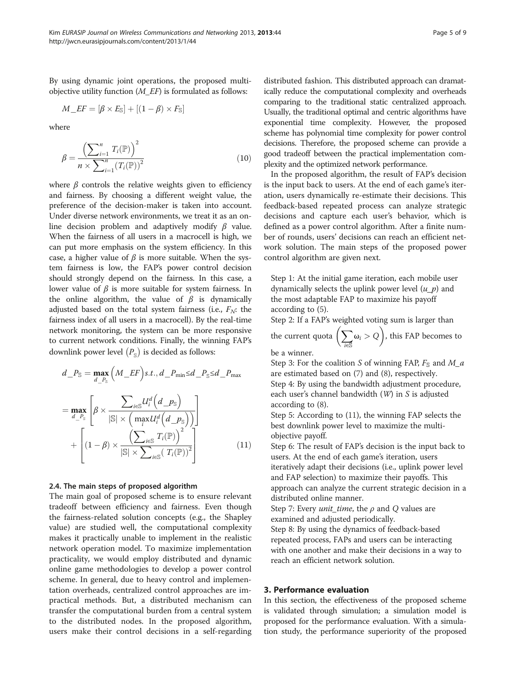By using dynamic joint operations, the proposed multiobjective utility function  $(M_E)$  is formulated as follows:

$$
M\_EF = [\beta \times E_{\mathbb{S}}] + [(1 - \beta) \times F_{\mathbb{S}}]
$$

where

$$
\beta = \frac{\left(\sum_{i=1}^{n} T_i(\mathbb{P})\right)^2}{n \times \sum_{i=1}^{n} (T_i(\mathbb{P}))^2}
$$
\n(10)

where  $\beta$  controls the relative weights given to efficiency and fairness. By choosing a different weight value, the preference of the decision-maker is taken into account. Under diverse network environments, we treat it as an online decision problem and adaptively modify  $\beta$  value. When the fairness of all users in a macrocell is high, we can put more emphasis on the system efficiency. In this case, a higher value of  $\beta$  is more suitable. When the system fairness is low, the FAP's power control decision should strongly depend on the fairness. In this case, a lower value of  $β$  is more suitable for system fairness. In the online algorithm, the value of  $\beta$  is dynamically adjusted based on the total system fairness (i.e.,  $F_N$ : the fairness index of all users in a macrocell). By the real-time network monitoring, the system can be more responsive to current network conditions. Finally, the winning FAP's downlink power level  $(P_{\mathbb{S}})$  is decided as follows:

$$
d_{P_{\mathcal{S}}} = \max_{d_{P_{\mathcal{S}}}} \left( M_{E} F \right) s.t., d_{P_{\min}} \le d_{P_{\mathcal{S}}} \le d_{P_{\max}}
$$

$$
= \max_{d_{P_{\mathcal{S}}}} \left[ \beta \times \frac{\sum_{i \in \mathcal{S}} U_i^d \left( d_{P_{\mathcal{S}}} \right)}{|\mathcal{S}| \times \left( \max_{i} U_i^d \left( d_{P_{\mathcal{S}}} \right) \right)} \right]
$$

$$
+ \left[ (1 - \beta) \times \frac{\left( \sum_{i \in \mathcal{S}} T_i(\mathbb{P}) \right)^2}{|\mathcal{S}| \times \sum_{i \in \mathcal{S}} (T_i(\mathbb{P}))^2} \right] \tag{11}
$$

### 2.4. The main steps of proposed algorithm

The main goal of proposed scheme is to ensure relevant tradeoff between efficiency and fairness. Even though the fairness-related solution concepts (e.g., the Shapley value) are studied well, the computational complexity makes it practically unable to implement in the realistic network operation model. To maximize implementation practicality, we would employ distributed and dynamic online game methodologies to develop a power control scheme. In general, due to heavy control and implementation overheads, centralized control approaches are impractical methods. But, a distributed mechanism can transfer the computational burden from a central system to the distributed nodes. In the proposed algorithm, users make their control decisions in a self-regarding

distributed fashion. This distributed approach can dramatically reduce the computational complexity and overheads comparing to the traditional static centralized approach. Usually, the traditional optimal and centric algorithms have exponential time complexity. However, the proposed scheme has polynomial time complexity for power control decisions. Therefore, the proposed scheme can provide a good tradeoff between the practical implementation complexity and the optimized network performance.

In the proposed algorithm, the result of FAP's decision is the input back to users. At the end of each game's iteration, users dynamically re-estimate their decisions. This feedback-based repeated process can analyze strategic decisions and capture each user's behavior, which is defined as a power control algorithm. After a finite number of rounds, users' decisions can reach an efficient network solution. The main steps of the proposed power control algorithm are given next.

Step 1: At the initial game iteration, each mobile user dynamically selects the uplink power level  $(u_p)$  and the most adaptable FAP to maximize his payoff according to (5).

Step 2: If a FAP's weighted voting sum is larger than the current quota  $\left(\sum\right)$ i∈S  $\left(\sum \omega_i > Q\right)$ , this FAP becomes to be a winner.

Step 3: For the coalition S of winning FAP,  $F_s$  and M\_a are estimated based on (7) and (8), respectively. Step 4: By using the bandwidth adjustment procedure, each user's channel bandwidth (W) in S is adjusted according to (8).

Step 5: According to (11), the winning FAP selects the best downlink power level to maximize the multiobjective payoff.

Step 6: The result of FAP's decision is the input back to users. At the end of each game's iteration, users iteratively adapt their decisions (i.e., uplink power level and FAP selection) to maximize their payoffs. This approach can analyze the current strategic decision in a distributed online manner.

Step 7: Every *unit\_time*, the  $\rho$  and Q values are examined and adjusted periodically.

Step 8: By using the dynamics of feedback-based repeated process, FAPs and users can be interacting with one another and make their decisions in a way to reach an efficient network solution.

# 3. Performance evaluation

In this section, the effectiveness of the proposed scheme is validated through simulation; a simulation model is proposed for the performance evaluation. With a simulation study, the performance superiority of the proposed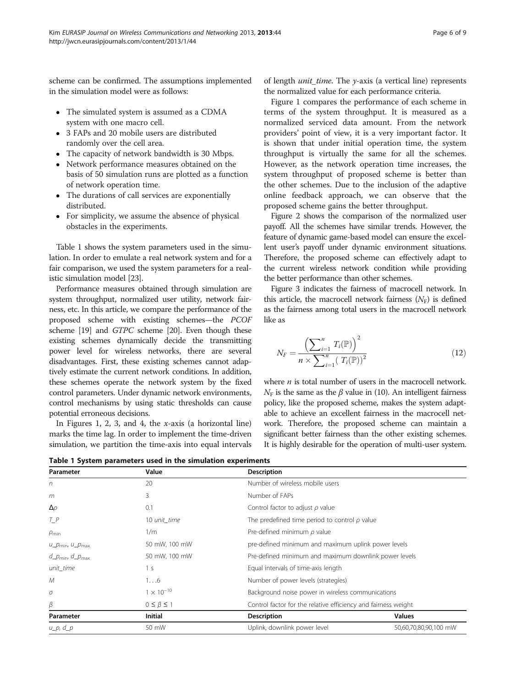scheme can be confirmed. The assumptions implemented in the simulation model were as follows:

- The simulated system is assumed as a CDMA system with one macro cell.
- 3 FAPs and 20 mobile users are distributed randomly over the cell area.
- The capacity of network bandwidth is 30 Mbps.
- Network performance measures obtained on the basis of 50 simulation runs are plotted as a function of network operation time.
- The durations of call services are exponentially distributed.
- For simplicity, we assume the absence of physical obstacles in the experiments.

Table 1 shows the system parameters used in the simulation. In order to emulate a real network system and for a fair comparison, we used the system parameters for a realistic simulation model [[23](#page-8-0)].

Performance measures obtained through simulation are system throughput, normalized user utility, network fairness, etc. In this article, we compare the performance of the proposed scheme with existing schemes—the PCOF scheme [[19](#page-8-0)] and GTPC scheme [[20](#page-8-0)]. Even though these existing schemes dynamically decide the transmitting power level for wireless networks, there are several disadvantages. First, these existing schemes cannot adaptively estimate the current network conditions. In addition, these schemes operate the network system by the fixed control parameters. Under dynamic network environments, control mechanisms by using static thresholds can cause potential erroneous decisions.

In Figures [1](#page-6-0), [2,](#page-6-0) [3,](#page-7-0) and [4](#page-7-0), the  $x$ -axis (a horizontal line) marks the time lag. In order to implement the time-driven simulation, we partition the time-axis into equal intervals

Table 1 System parameters used in the simulation experiments

of length *unit\_time*. The  $y$ -axis (a vertical line) represents the normalized value for each performance criteria.

Figure [1](#page-6-0) compares the performance of each scheme in terms of the system throughput. It is measured as a normalized serviced data amount. From the network providers' point of view, it is a very important factor. It is shown that under initial operation time, the system throughput is virtually the same for all the schemes. However, as the network operation time increases, the system throughput of proposed scheme is better than the other schemes. Due to the inclusion of the adaptive online feedback approach, we can observe that the proposed scheme gains the better throughput.

Figure [2](#page-6-0) shows the comparison of the normalized user payoff. All the schemes have similar trends. However, the feature of dynamic game-based model can ensure the excellent user's payoff under dynamic environment situations. Therefore, the proposed scheme can effectively adapt to the current wireless network condition while providing the better performance than other schemes.

Figure [3](#page-7-0) indicates the fairness of macrocell network. In this article, the macrocell network fairness  $(N_F)$  is defined as the fairness among total users in the macrocell network like as

$$
N_F = \frac{\left(\sum_{i=1}^n T_i(\mathbb{P})\right)^2}{n \times \sum_{i=1}^n (T_i(\mathbb{P}))^2}
$$
(12)

where  $n$  is total number of users in the macrocell network.  $N_F$  is the same as the  $\beta$  value in (10). An intelligent fairness policy, like the proposed scheme, makes the system adaptable to achieve an excellent fairness in the macrocell network. Therefore, the proposed scheme can maintain a significant better fairness than the other existing schemes. It is highly desirable for the operation of multi-user system.

| Parameter                               | Value                 | <b>Description</b>                                             |                       |
|-----------------------------------------|-----------------------|----------------------------------------------------------------|-----------------------|
| n                                       | 20                    | Number of wireless mobile users                                |                       |
| m                                       | 3                     | Number of FAPs                                                 |                       |
| $\Delta \rho$                           | 0.1                   | Control factor to adjust $\rho$ value                          |                       |
| $T_P$                                   | 10 unit time          | The predefined time period to control $\rho$ value             |                       |
| $\rho_{\rm min}$                        | 1/m                   | Pre-defined minimum $\rho$ value                               |                       |
| $U\_p_{\min}$ , $U\_p_{\max}$           | 50 mW, 100 mW         | pre-defined minimum and maximum uplink power levels            |                       |
| $d_p_{\text{min}}$ , $d_p_{\text{max}}$ | 50 mW, 100 mW         | Pre-defined minimum and maximum downlink power levels          |                       |
| unit_time                               | 1 <sup>s</sup>        | Equal intervals of time-axis length                            |                       |
| M                                       | 1.6                   | Number of power levels (strategies)                            |                       |
| σ                                       | $1 \times 10^{-10}$   | Background noise power in wireless communications              |                       |
| β                                       | $0 \leq \beta \leq 1$ | Control factor for the relative efficiency and fairness weight |                       |
| Parameter                               | <b>Initial</b>        | <b>Description</b>                                             | <b>Values</b>         |
| $u_p, d_p$                              | 50 mW                 | Uplink, downlink power level                                   | 50,60,70,80,90,100 mW |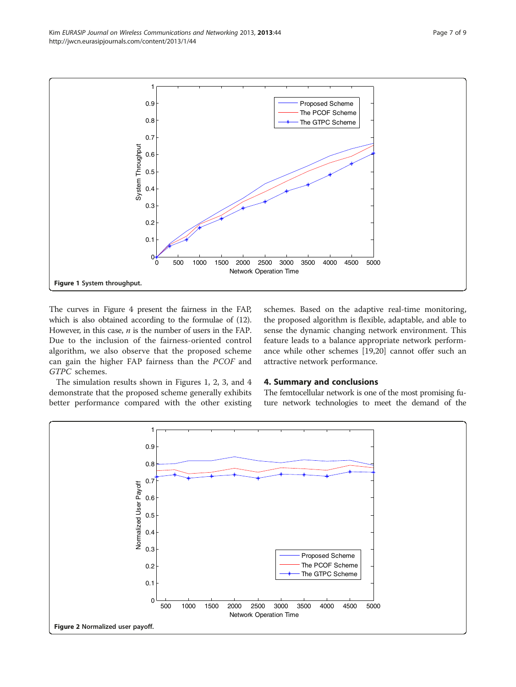The curves in Figure [4](#page-7-0) present the fairness in the FAP, which is also obtained according to the formulae of (12). However, in this case,  $n$  is the number of users in the FAP. Due to the inclusion of the fairness-oriented control algorithm, we also observe that the proposed scheme can gain the higher FAP fairness than the PCOF and GTPC schemes.

The simulation results shown in Figures 1, 2, [3,](#page-7-0) and [4](#page-7-0) demonstrate that the proposed scheme generally exhibits better performance compared with the other existing schemes. Based on the adaptive real-time monitoring, the proposed algorithm is flexible, adaptable, and able to sense the dynamic changing network environment. This feature leads to a balance appropriate network performance while other schemes [\[19,20\]](#page-8-0) cannot offer such an attractive network performance.

# 4. Summary and conclusions

The femtocellular network is one of the most promising future network technologies to meet the demand of the



<span id="page-6-0"></span>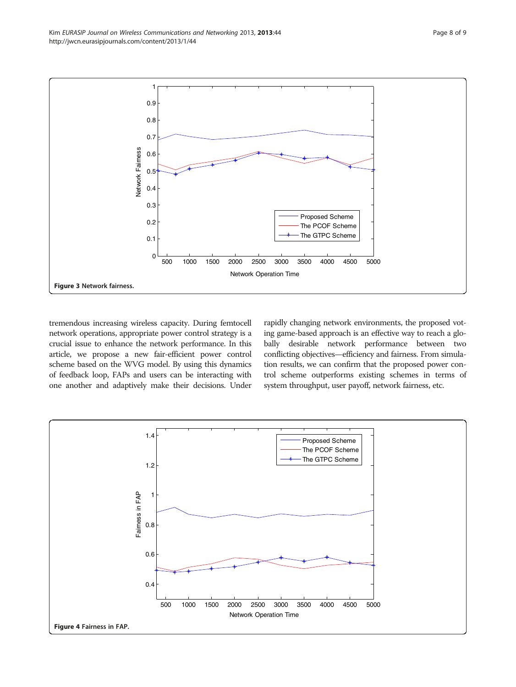<span id="page-7-0"></span>

tremendous increasing wireless capacity. During femtocell network operations, appropriate power control strategy is a crucial issue to enhance the network performance. In this article, we propose a new fair-efficient power control scheme based on the WVG model. By using this dynamics of feedback loop, FAPs and users can be interacting with one another and adaptively make their decisions. Under

rapidly changing network environments, the proposed voting game-based approach is an effective way to reach a globally desirable network performance between two conflicting objectives—efficiency and fairness. From simulation results, we can confirm that the proposed power control scheme outperforms existing schemes in terms of system throughput, user payoff, network fairness, etc.